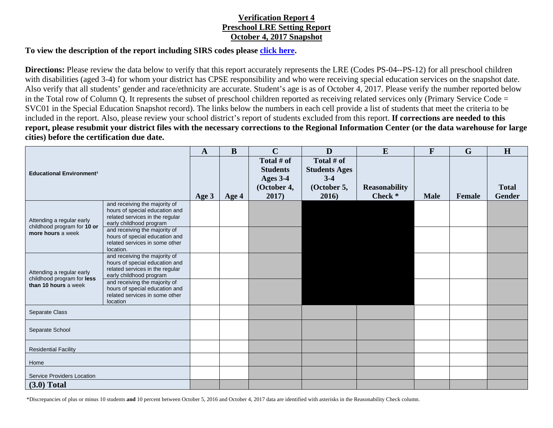## **Verification Report 4 Preschool LRE Setting Report October 4, 2017 Snapshot**

## **To view the description of the report including SIRS codes please click here.**

**Directions:** Please review the data below to verify that this report accurately represents the LRE (Codes PS-04--PS-12) for all preschool children with disabilities (aged 3-4) for whom your district has CPSE responsibility and who were receiving special education services on the snapshot date. Also verify that all students' gender and race/ethnicity are accurate. Student's age is as of October 4, 2017. Please verify the number reported below in the Total row of Column Q. It represents the subset of preschool children reported as receiving related services only (Primary Service Code = SVC01 in the Special Education Snapshot record). The links below the numbers in each cell provide a list of students that meet the criteria to be included in the report. Also, please review your school district's report of students excluded from this report. **If corrections are needed to this report, please resubmit your district files with the necessary corrections to the Regional Information Center (or the data warehouse for large cities) before the certification due date.** 

| <b>Educational Environment<sup>1</sup></b>                                      |                                                                                                                               | $\mathbf{A}$ | $\bf{B}$ | $\mathbf C$                               | $\mathbf{D}$                                | E                    | $\mathbf{F}$ | $\mathbf G$   | H             |
|---------------------------------------------------------------------------------|-------------------------------------------------------------------------------------------------------------------------------|--------------|----------|-------------------------------------------|---------------------------------------------|----------------------|--------------|---------------|---------------|
|                                                                                 |                                                                                                                               |              |          | Total # of<br><b>Students</b><br>Ages 3-4 | Total # of<br><b>Students Ages</b><br>$3-4$ |                      |              |               |               |
|                                                                                 |                                                                                                                               |              |          | (October 4,                               | (October 5,                                 | <b>Reasonability</b> |              |               | <b>Total</b>  |
|                                                                                 |                                                                                                                               | Age 3        | Age 4    | 2017)                                     | 2016)                                       | Check *              | <b>Male</b>  | <b>Female</b> | <b>Gender</b> |
| Attending a regular early<br>childhood program for 10 or<br>more hours a week   | and receiving the majority of<br>hours of special education and<br>related services in the regular<br>early childhood program |              |          |                                           |                                             |                      |              |               |               |
|                                                                                 | and receiving the majority of<br>hours of special education and<br>related services in some other<br>location.                |              |          |                                           |                                             |                      |              |               |               |
| Attending a regular early<br>childhood program for less<br>than 10 hours a week | and receiving the majority of<br>hours of special education and<br>related services in the regular<br>early childhood program |              |          |                                           |                                             |                      |              |               |               |
|                                                                                 | and receiving the majority of<br>hours of special education and<br>related services in some other<br>location                 |              |          |                                           |                                             |                      |              |               |               |
| Separate Class                                                                  |                                                                                                                               |              |          |                                           |                                             |                      |              |               |               |
| Separate School                                                                 |                                                                                                                               |              |          |                                           |                                             |                      |              |               |               |
| <b>Residential Facility</b>                                                     |                                                                                                                               |              |          |                                           |                                             |                      |              |               |               |
| Home                                                                            |                                                                                                                               |              |          |                                           |                                             |                      |              |               |               |
| <b>Service Providers Location</b>                                               |                                                                                                                               |              |          |                                           |                                             |                      |              |               |               |
| $(3.0)$ Total                                                                   |                                                                                                                               |              |          |                                           |                                             |                      |              |               |               |

\*Discrepancies of plus or minus 10 students **and** 10 percent between October 5, 2016 and October 4, 2017 data are identified with asterisks in the Reasonability Check column.